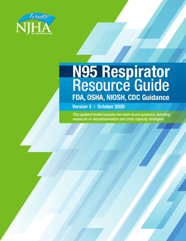

# **N95 Respirator** Resource Guide **FDA, OSHA, NIOSH, CDC Guidance**

**Version 3** | **October 2020**

*This updated toolkit includes the most recent guidance, including resources on decontamination and crisis capacity strategies.*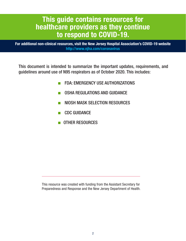# **This guide contains resources for healthcare providers as they continue to respond to COVID-19.**

**For additional non-clinical resources, visit the New Jersey Hospital Association's COVID-19 website http://www.njha.com/coronavirus**

This document is intended to summarize the important updates, requirements, and guidelines around use of N95 respirators as of October 2020. This includes:

- FDA: EMERGENCY USE AUTHORIZATIONS
- **OSHA REGULATIONS AND GUIDANCE**
- NIOSH MASK SELECTION RESOURCES
- CDC GUIDANCE
- OTHER RESOURCES

This resource was created with funding from the Assistant Secretary for Preparedness and Response and the New Jersey Department of Health.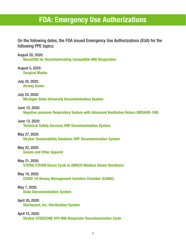# **FDA: Emergency Use Authorizations**

On the following dates, the FDA issued Emergency Use Authorizations (EUA) for the following PPE topics:

August 20, 2020: **Nova2200 for Decontaminating Compatible N95 Respirators**

August 5, 2020: **Surgical Masks**

July 24, 2020: **Airway Dome**

July 24, 2020: **Michigan State University Decontamination System**

June 13, 2020:

**Negative-pressure Respiratory System with Advanced Ventilation Return (NRSAVR-100)**

June 13, 2020:

**Technical Safety Services VHP Decontamination System**

May 27, 2020:

**Stryker Sustainability Solutions VHP Decontamination System**

May 22, 2020:

**Gowns and Other Apparel**

May 21, 2020:

**STERIS STEAM Decon Cycle in AMSCO Medium Steam Sterilizers**

May 19, 2020:

**COVID-19 Airway Management Isolation Chamber (CAMIC)**

May 7, 2020:

**Duke Decontamination System**

April 20, 2020:

**Sterilucent, Inc. Sterilization System**

April 15, 2020:

**Stryker STERIZONE VP4 N95 Respirator Decontamination Cycle**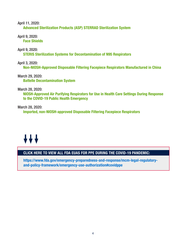April 11, 2020:

**Advanced Sterilization Products (ASP) STERRAD Sterilization System**

April 9, 2020: **Face Shields**

April 9, 2020:

**STERIS Sterilization Systems for Decontamination of N95 Respirators**

April 3, 2020: **Non-NIOSH-Approved Disposable Filtering Facepiece Respirators Manufactured in China**

March 29, 2020: **Battelle Decontamination System**

March 28, 2020:

**NIOSH-Approved Air Purifying Respirators for Use in Health Care Settings During Response to the COVID-19 Public Health Emergency**

March 28, 2020: **Imported, non-NIOSH-approved Disposable Filtering Facepiece Respirators**

# $+ + +$

## **CLICK HERE TO VIEW ALL FDA EUAS FOR PPE DURING THE COVID-19 PANDEMIC:**

**https://www.fda.gov/emergency-preparedness-and-response/mcm-legal-regulatoryand-policy-framework/emergency-use-authorization#covidppe**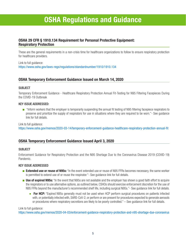# **OSHA Regulations and Guidance**

### **OSHA 29 CFR § 1910.134 Requirement for Personal Protective Equipment: Respiratory Protection**

These are the general requirements in a non-crisis time for healthcare organizations to follow to ensure respiratory protection for healthcare providers.

Link to full guidance: https://www.osha.gov/laws-regs/regulations/standardnumber/1910/1910.134

### **OSHA Temporary Enforcement Guidance Issued on March 14, 2020**

### SUBJECT

Temporary Enforcement Guidance - Healthcare Respiratory Protection Annual Fit-Testing for N95 Filtering Facepieces During the COVID-19 Outbreak

### KEY ISSUE ADDRESSED:

■ "Inform workers that the employer is temporarily suspending the annual fit testing of N95 filtering facepiece respirators to preserve and prioritize the supply of respirators for use in situations where they are required to be worn."- See guidance link for full details.

Link to full guidance:

https://www.osha.gov/memos/2020-03-14/temporary-enforcement-guidance-healthcare-respiratory-protection-annual-fit

### **OSHA Temporary Enforcement Guidance Issued April 3, 2020**

### **SUBJECT**

Enforcement Guidance for Respiratory Protection and the N95 Shortage Due to the Coronavirus Disease 2019 (COVID-19) Pandemic.

### KEY ISSUE ADDRESSED

- **Extended use or reuse of N95s:** "In the event extended use or reuse of N95 FFRs becomes necessary, the same worker is permitted to extend use of or reuse the respirator."- See guidance link for full details.
- **Use of expired N95s:** "In the event that N95s are not available and the employer has shown a good faith effort to acquire the respirators or to use alternative options, as outlined below, CSHOs should exercise enforcement discretion for the use of N95 FFRs beyond the manufacturer's recommended shelf life, including surgical N95s."- See guidance link for full details.
	- **For HCP:** "Expired N95s generally must not be used when HCP perform surgical procedures on patients infected with, or potentially infected with, SARS-CoV-2, or perform or are present for procedures expected to generate aerosols or procedures where respiratory secretions are likely to be poorly controlled." – See guidance link for full details.

#### Link to full guidance:

https://www.osha.gov/memos/2020-04-03/enforcement-guidance-respiratory-protection-and-n95-shortage-due-coronavirus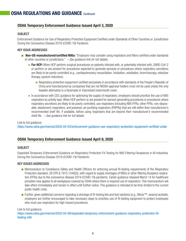### **OSHA Temporary Enforcement Guidance Issued April 3, 2020**

### **SUBJECT**

Enforcement Guidance for Use of Respiratory Protection Equipment Certified under Standards of Other Countries or Jurisdictions During the Coronavirus Disease 2019 (COVID-19) Pandemic

### KEY ISSUE ADDRESSED

- **Non-US-manufactured/certified N95s:** "Employers may consider using respirators and filters certified under standards of other countries or jurisdictions." *– See guidance link for full details.*
	- **For HCP:** When HCP perform surgical procedures on patients infected with, or potentially infected with, SARS-CoV-2 or perform or are present for procedures expected to generate aerosols or procedures where respiratory secretions are likely to be poorly controlled (e.g., cardiopulmonary resuscitation, intubation, extubation, bronchoscopy, nebulizer therapy, sputum induction);
		- **o** Respiratory protection equipment certified exclusively in accordance with standards of the People's Republic of China and manufactured by companies that are not NIOSH-approval holders must not be used unless the only feasible alternative is a facemask or improvised nose/mouth cover;
	- In accordance with CDC quidance for optimizing the supply of respirators, employers should prioritize the use of N95 respirators by activity type. When HCP perform or are present for aerosol-generating procedures or procedures where respiratory secretions are likely to be poorly controlled, use respirators (including N95 FFRs; other FFRs; non-disposable, elastomeric respirators; and powered, air-purifying respirators (PAPRs)) that are still within their manufacturer's recommended shelf life, if available, before using respirators that are beyond their manufacturer's recommended shelf life. *– See guidance link for full details.*

### Link to full guidance:

https://www.osha.gov/memos/2020-04-03/enforcement-guidance-use-respiratory-protection-equipment-certified-under

### **OSHA Temporary Enforcement Guidance Issued April 8, 2020**

### **SUBJECT**

Expanded Temporary Enforcement Guidance on Respiratory Protection Fit-Testing for N95 Filtering Facepieces in All Industries During the Coronavirus Disease 2019 (COVID-19) Pandemic

### KEY ISSUES ADDRESSED

- Memorandum to Compliance Safety and Health Officers for enforcing annual fit-testing requirements of the Respiratory Protection standard, 29 CFR § 1910.134(f)(2), with regard to supply shortages of N95s or other filtering facepiece respirators (FFRs) due to the coronavirus disease 2019 (COVID-19) pandemic. Earlier guidance released March 14 for healthcare providers now applies to all workplaces covered by OSHA where there is required use of respirators. This memorandum will take effect immediately and remain in effect until further notice. This guidance is intended to be time-limited to the current public health crisis.
- Further, given additional concerns regarding a shortage of fit-testing kits and test solutions (e.g., Bitrex™, isoamyl acetate), employers are further encouraged to take necessary steps to prioritize use of fit-testing equipment to protect employees who must use respirators for high-hazard procedures.

Link to full guidance:

https://www.osha.gov/memos/2020-04-08/expanded-temporary-enforcement-guidance-respiratory-protection-fittesting-n95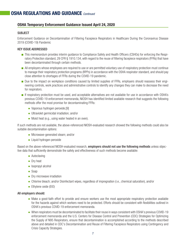### **OSHA Temporary Enforcement Guidance Issued April 24, 2020**

### **SUBJECT**

Enforcement Guidance on Decontamination of Filtering Facepiece Respirators in Healthcare During the Coronavirus Disease 2019 (COVID-19) Pandemic

### KEY ISSUE ADDRESSED

- This memorandum provides interim guidance to Compliance Safety and Health Officers (CSHOs) for enforcing the Respiratory Protection standard, 29 CFR § 1910.134, with regard to the reuse of filtering facepiece respirators (FFRs) that have been decontaminated through certain methods.
- All employers whose employees are required to use or are permitted voluntary use of respiratory protection must continue to manage their respiratory protection programs (RPPs) in accordance with the OSHA respirator standard, and should pay close attention to shortages of FFRs during the COVID-19 pandemic.
- Due to the impact on workplace conditions caused by limited supplies of FFRs, employers should reassess their engineering controls, work practices and administrative controls to identify any changes they can make to decrease the need for respirators.
- If respiratory protection must be used, and acceptable alternatives are not available for use in accordance with OSHA's previous COVID-19 enforcement memoranda, NIOSH has identified limited available research that suggests the following methods offer the most promise for decontaminating FFRs:
	- Vaporous hydrogen peroxide;[9]
	- Ultraviolet germicidal irradiation; and/or
	- $\bullet$  Moist heat (e.g., using water heated in an oven).

If such methods are not available, the above-referenced NIOSH-evaluated research showed the following methods could also be suitable decontamination options:

- Microwave-generated steam; and/or
- Liquid hydrogen peroxide

Based on the above-referenced NIOSH-evaluated research, employers should not use the following methods unless objective data that sufficiently demonstrate the safety and effectiveness of such methods become available:

- $\bullet$  Autoclaving
- Dry heat
- $\bullet$  Isopropyl alcohol
- $\bullet$  Soap
- $\bullet$  Dry microwave irradiation
- Chlorine bleach; and/or Disinfectant wipes, regardless of impregnation (i.e., chemical saturation), and/or
- Ethylene oxide (EtO)

### All employers should:

- Make a good-faith effort to provide and ensure workers use the most appropriate respiratory protection available for the hazards against which workers need to be protected. Efforts should be consistent with flexibilities outlined in OSHA's previous COVID-19 enforcement memoranda.
- When respirators must be decontaminated to facilitate their reuse in ways consistent with OSHA's previous COVID-19 enforcement memoranda and the U.S. Centers for Disease Control and Prevention (CDC) Strategies for Optimizing the Supply of N95 Respirators, ensure that decontamination is accomplished according to the methods described above and detailed in CDC's Decontamination and Reuse of Filtering Facepiece Respirators using Contingency and Crisis Capacity Strategies.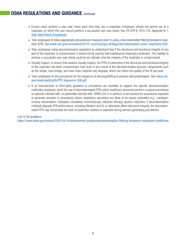## **OSHA REGULATIONS AND GUIDANCE** *Continued*

- Ensure users perform a user seal check each time they don a respirator. Employers should not permit use of a respirator on which the user cannot perform a successful user seal check. See 29 CFR § 1910.134, Appendix B-1, User Seal Check Procedures.
- Train employees to follow appropriate precautionary measures prior to using a decontaminated filtering facepiece respirator (FFR). See www.cdc.gov/coronavirus/2019- ncov/hcp/ppe-strategy/decontamination-reuse-respirators.html.
- Train employees using decontaminated respirators to understand that if the structural and functional integrity of any part of the respirator is compromised, it should not be used by that individual as respiratory protection. The inability to achieve a successful user seal check could be an indicator that the integrity of the respirator is compromised.
- Visually inspect, or ensure that workers visually inspect, the FFRs to determine if the structural and functional integrity of the respirator has been compromised. Over time or as a result of the decontamination process, components such as the straps, nose bridge, and nose foam material may degrade, which can affect the quality of the fit and seal.
- Train employees on the procedures for the sequence of donning/doffing to prevent selfcontamination. See www.cdc. gov/niosh/npptl/pdfs/PPE-Sequence-508.pdf.
- If no manufacturer or third-party quidance or procedures are available to support the specific decontamination method(s) employed, avoid the use of decontaminated FFRs when healthcare personnel perform surgical procedures on patients infected with, or potentially infected with, SARS-CoV-2 or perform or are present for procedures expected to generate aerosols or procedures where respiratory secretions are likely to be poorly controlled (e.g., cardiopulmonary resuscitation, intubation, extubation, bronchoscopy, nebulizer therapy, sputum induction). If decontamination methods degrade FFR performance, including filtration and fit, or otherwise affect structural integrity, the decontaminated FFR may not provide the level of protection needed or expected during aerosol-generating procedures.

Link to full guidance: https://www.osha.gov/memos/2020-04-24/enforcement-guidancedecontamination-filtering-facepiece-respirators-healthcare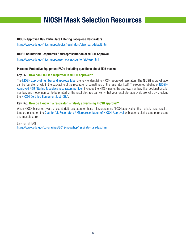# **NIOSH Mask Selection Resources**

### **NIOSH-Approved N95 Particulate Filtering Facepiece Respirators**

https://www.cdc.gov/niosh/npptl/topics/respirators/disp\_part/default.html

### **NIOSH Counterfeit Respirators / Misrepresentation of NIOSH Approval**

https://www.cdc.gov/niosh/npptl/usernotices/counterfeitResp.html

### **Personal Protective Equipment FAQs including questions about N95 masks**

### Key FAQ: **How can I tell if a respirator is NIOSH approved?**

The NIOSH approval number and approval label are key to identifying NIOSH-approved respirators. The NIOSH approval label can be found on or within the packaging of the respirator or sometimes on the respirator itself. The required labeling of NIOSH-Approved N95 filtering facepiece respirators pdf icon includes the NIOSH name, the approval number, filter designations, lot number, and model number to be printed on the respirator. You can verify that your respirator approvals are valid by checking the NIOSH Certified Equipment List (CEL).

### Key FAQ: **How do I know if a respirator is falsely advertising NIOSH approval?**

When NIOSH becomes aware of counterfeit respirators or those misrepresenting NIOSH approval on the market, these respirators are posted on the Counterfeit Respirators / Misrepresentation of NIOSH-Approval webpage to alert users, purchasers, and manufacture.

#### Link for full FAQ: https://www.cdc.gov/coronavirus/2019-ncov/hcp/respirator-use-faq.html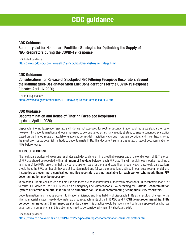# **CDC guidance**

### **CDC Guidance: Summary List for Healthcare Facilities: Strategies for Optimizing the Supply of N95 Respirators during the COVID-19 Response**

Link to full guidance: https://www.cdc.gov/coronavirus/2019-ncov/hcp/checklist-n95-strategy.html

### **CDC Guidance: Considerations for Release of Stockpiled N95 Filtering Facepiece Respirators Beyond the Manufacturer-Designated Shelf Life: Considerations for the COVID-19 Response**  (Updated April 16, 2020)

Link to full guidance: https://www.cdc.gov/coronavirus/2019-ncov/hcp/release-stockpiled-N95.html

### **CDC Guidance: Decontamination and Reuse of Filtering Facepiece Respirators**  (updated April 1, 2020)

Disposable filtering facepiece respirators (FFRs) are not approved for routine decontamination and reuse as standard of care. However, FFR decontamination and reuse may need to be considered as a crisis capacity strategy to ensure continued availability. Based on the limited research available, ultraviolet germicidal irradiation, vaporous hydrogen peroxide, and moist heat showed the most promise as potential methods to decontaminate FFRs. This document summarizes research about decontamination of FFRs before reuse.

### KEY ISSUE ADDRESSED:

The healthcare worker will wear one respirator each day and store it in a breathable paper bag at the end of each shift. The order of FFR use should be repeated with a minimum of five days between each FFR use. This will result in each worker requiring a minimum of five FFRs, providing that they put on, take off, care for them, and store them properly each day. Healthcare workers should treat the FFRs as though they are still contaminated and follow the precautions outlined in our reuse recommendations. If supplies are even more constrained and five respirators are not available for each worker who needs them, FFR decontamination may be necessary.

At present, FFRs are considered one time use and there are no manufacturer-authorized methods for FFR decontamination prior to reuse. On March 28, 2020, FDA issued an Emergency Use Authorization (EUA) permitting the **Battelle Decontamination** System at Battelle Memorial Institute to be authorized for use in decontaminating "compatible N95 respirators.

Decontamination might cause poorer fit, filtration efficiency, and breathability of disposable FFRs as a result of changes to the filtering material, straps, nose bridge material, or strap attachments of the FFR. CDC and NIOSH do not recommend that FFRs be decontaminated and then reused as standard care. This practice would be inconsistent with their approved use, but we understand in times of crisis, this option may need to be considered when FFR shortages exist.

### Link to full guidance:

https://www.cdc.gov/coronavirus/2019-ncov/hcp/ppe-strategy/decontamination-reuse-respirators.html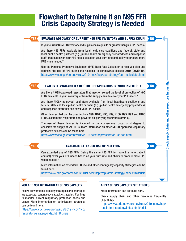# **Flowchart to Determine if an N95 FFR Crisis Capacity Strategy is Needed**

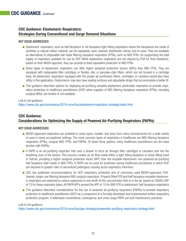### **CDC Guidance: Elastomeric Respirators: Strategies During Conventional and Surge Demand Situations**

### KEY ISSUE ADDRESSED:

- Elastomeric respirators, such as half facepiece or full facepiece tight-fitting respirators where the facepieces are made of synthetic or natural rubber material, can be repeatedly used, cleaned, disinfected, stored, and re-used. They are available as alternatives to disposable half mask filtering facepiece respirators (FFRs), such as N95 FFRs, for augmenting the total supply of respirators available for use by HCP. While elastomeric respirators are not cleared by FDA for fluid resistance, based on their NIOSH approval, they can provide at least equivalent protection to N95 FFRs.
- Some types of elastomeric respirators can offer higher assigned protection factors (APFs) than N95 FFRs. They are equipped with replaceable filter cartridges or flexible, disc or pancake-style filters, which are not housed in a cartridge body. All elastomeric respirators equipped with the proper air-purification filters, cartridges, or canisters would also have utility in this application. Elastomerics may also have sealing surfaces and adjustable straps that accommodate a better fit.
- This guidance describes options for deploying air-purifying reusable elastomeric particulate respirators to provide respiratory protection to healthcare practitioners (HCP) when supplies of N95 filtering facepiece respirators (FFRs), including surgical N95s, are limited or not available.

Link to full guidance: https://www.cdc.gov/coronavirus/2019-ncov/hcp/elastomericrespirators-strategy/index.html

### **CDC Guidance: Considerations for Optimizing the Supply of Powered Air-Purifying Respirators (PAPRs)**

### KEY ISSUE ADDRESSED:

- NIOSH-approved respirators are available in many types, models, and sizes from many manufacturers for a wide variety of uses in many occupational settings. The most common types of respirators in healthcare are N95 filtering facepiece respirators (FFRs), surgical N95 FFRs, and PAPRs. Of these three options, many healthcare practitioners are the least familiar with PAPRs.
- A PAPR is an air-purifying respirator that uses a blower to force air through filter cartridges or canisters and into the breathing zone of the wearer. This process creates an air flow inside either a tight-fitting facepiece or loose-fitting hood or helmet, providing a higher assigned protection factor (APF) than the reusable elastomeric non-powered air-purifying half facepiece (half mask) or N95 FFRs. A PAPR can be used for protection during healthcare procedures in which HCP are exposed to greater risks of aerosolized pathogens causing acute respiratory infections.
- CDC has published recommendations for HCP respiratory protection and of commonly used NIOSH-approved, FDAcleared, single-use filtering facepiece N95 surgical respirators. Properly fitted FFR and half facepiece reusable elastomeric respirators are expected to reduce exposures to one-tenth of the concentration that is in the air, based on OSHA's APF of 10 for these respirator types. All PAPR APFs exceed the APF of 10 for N95 FFR or elastomeric half facepiece respirators
- This guidance describes considerations for the use of powered air-purifying respirators (PAPRs) to provide respiratory protection to healthcare practitioners (HCP) as a component of a formally developed and implemented written respiratory protection program. It addresses conventional, contingency, and crisis surge PAPR use and maintenance practices.

### Link to full guidance:

https://www.cdc.gov/coronavirus/2019-ncov/hcp/ppe-strategy/poweredair-purifying-respirators-strategy.html